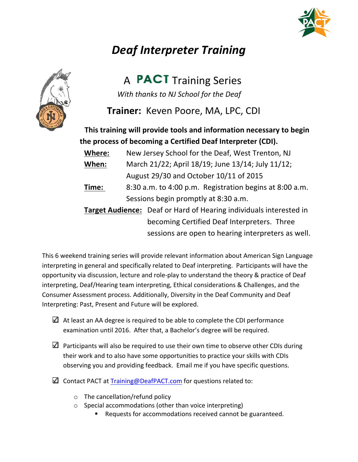

## *Deaf Interpreter Training*



A **PACT** Training Series With thanks to NJ School for the Deaf

**Trainer:** Keven Poore, MA, LPC, CDI

This training will provide tools and information necessary to begin the process of becoming a Certified Deaf Interpreter (CDI).

**Where:** New Jersey School for the Deaf, West Trenton, NJ **When:** March 21/22; April 18/19; June 13/14; July 11/12; August 29/30 and October 10/11 of 2015 **Time:** 8:30 a.m. to 4:00 p.m. Registration begins at 8:00 a.m. Sessions begin promptly at 8:30 a.m. **Target Audience:** Deaf or Hard of Hearing individuals interested in becoming Certified Deaf Interpreters. Three sessions are open to hearing interpreters as well.

This 6 weekend training series will provide relevant information about American Sign Language interpreting in general and specifically related to Deaf interpreting. Participants will have the opportunity via discussion, lecture and role-play to understand the theory & practice of Deaf interpreting, Deaf/Hearing team interpreting, Ethical considerations & Challenges, and the Consumer Assessment process. Additionally, Diversity in the Deaf Community and Deaf Interpreting: Past, Present and Future will be explored.

- $\Delta$  At least an AA degree is required to be able to complete the CDI performance examination until 2016. After that, a Bachelor's degree will be required.
- $\Box$  Participants will also be required to use their own time to observe other CDIs during their work and to also have some opportunities to practice your skills with CDIs observing you and providing feedback. Email me if you have specific questions.
- $\Box$  Contact PACT at Training@DeafPACT.com for questions related to:
	- $\circ$  The cancellation/refund policy
	- $\circ$  Special accommodations (other than voice interpreting)
		- Requests for accommodations received cannot be guaranteed.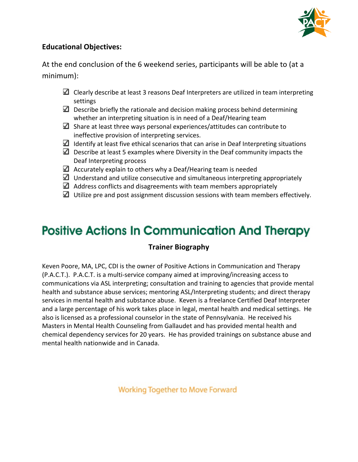

### **Educational Objectives:**

At the end conclusion of the 6 weekend series, participants will be able to (at a minimum):

- $\Box$  Clearly describe at least 3 reasons Deaf Interpreters are utilized in team interpreting settings
- $\Box$  Describe briefly the rationale and decision making process behind determining whether an interpreting situation is in need of a Deaf/Hearing team
- $\blacksquare$  Share at least three ways personal experiences/attitudes can contribute to ineffective provision of interpreting services.
- $\blacksquare$  Identify at least five ethical scenarios that can arise in Deaf Interpreting situations
- $\Box$  Describe at least 5 examples where Diversity in the Deaf community impacts the Deaf Interpreting process
- $\Box$  Accurately explain to others why a Deaf/Hearing team is needed
- $\Box$  Understand and utilize consecutive and simultaneous interpreting appropriately
- $\Box$  Address conflicts and disagreements with team members appropriately
- $\Box$  Utilize pre and post assignment discussion sessions with team members effectively.

# **Positive Actions In Communication And Therapy**

#### **Trainer Biography**

Keven Poore, MA, LPC, CDI is the owner of Positive Actions in Communication and Therapy (P.A.C.T.). P.A.C.T. is a multi-service company aimed at improving/increasing access to communications via ASL interpreting; consultation and training to agencies that provide mental health and substance abuse services; mentoring ASL/Interpreting students; and direct therapy services in mental health and substance abuse. Keven is a freelance Certified Deaf Interpreter and a large percentage of his work takes place in legal, mental health and medical settings. He also is licensed as a professional counselor in the state of Pennsylvania. He received his Masters in Mental Health Counseling from Gallaudet and has provided mental health and chemical dependency services for 20 years. He has provided trainings on substance abuse and mental health nationwide and in Canada.

**Working Together to Move Forward**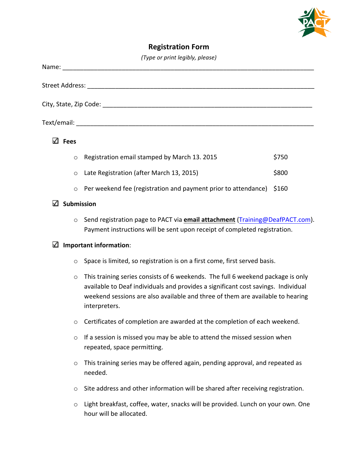

### **Registration Form**

|  |  | (Type or print legibly, please) |
|--|--|---------------------------------|
|  |  |                                 |

| (Type or print legibly, please) |                   |                                                                                                                                                                                                                                                                         |       |  |  |  |  |
|---------------------------------|-------------------|-------------------------------------------------------------------------------------------------------------------------------------------------------------------------------------------------------------------------------------------------------------------------|-------|--|--|--|--|
|                                 |                   | Name: when the contract of the contract of the contract of the contract of the contract of the contract of the                                                                                                                                                          |       |  |  |  |  |
|                                 |                   |                                                                                                                                                                                                                                                                         |       |  |  |  |  |
|                                 |                   |                                                                                                                                                                                                                                                                         |       |  |  |  |  |
|                                 |                   |                                                                                                                                                                                                                                                                         |       |  |  |  |  |
|                                 | $\Box$ Fees       |                                                                                                                                                                                                                                                                         |       |  |  |  |  |
|                                 | $\circ$           | Registration email stamped by March 13. 2015                                                                                                                                                                                                                            | \$750 |  |  |  |  |
|                                 | $\circ$           | Late Registration (after March 13, 2015)                                                                                                                                                                                                                                | \$800 |  |  |  |  |
|                                 | $\circ$           | Per weekend fee (registration and payment prior to attendance)                                                                                                                                                                                                          | \$160 |  |  |  |  |
| ℳ                               | <b>Submission</b> |                                                                                                                                                                                                                                                                         |       |  |  |  |  |
|                                 | $\circ$           | Send registration page to PACT via email attachment (Training@DeafPACT.com).<br>Payment instructions will be sent upon receipt of completed registration.                                                                                                               |       |  |  |  |  |
| ✓                               |                   | Important information:                                                                                                                                                                                                                                                  |       |  |  |  |  |
|                                 | O                 | Space is limited, so registration is on a first come, first served basis.                                                                                                                                                                                               |       |  |  |  |  |
|                                 | $\circ$           | This training series consists of 6 weekends. The full 6 weekend package is only<br>available to Deaf individuals and provides a significant cost savings. Individual<br>weekend sessions are also available and three of them are available to hearing<br>interpreters. |       |  |  |  |  |
|                                 | O                 | Certificates of completion are awarded at the completion of each weekend.                                                                                                                                                                                               |       |  |  |  |  |

- $\circ$  If a session is missed you may be able to attend the missed session when repeated, space permitting.
- $\circ$  This training series may be offered again, pending approval, and repeated as needed.
- o Site address and other information will be shared after receiving registration.
- $\circ$  Light breakfast, coffee, water, snacks will be provided. Lunch on your own. One hour will be allocated.